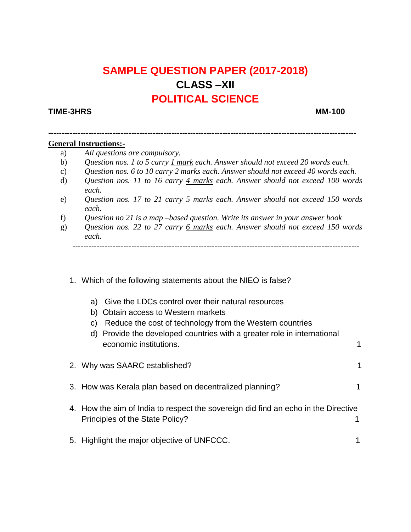# **SAMPLE QUESTION PAPER (2017-2018) CLASS –XII POLITICAL SCIENCE**

#### **TIME-3HRS MM-100**

#### **General Instructions:-**

- a) *All questions are compulsory.*
- b) *Question nos. 1 to 5 carry 1 mark each. Answer should not exceed 20 words each.*

**-------------------------------------------------------------------------------------------------------------------**

- c) *Question nos. 6 to 10 carry 2 marks each. Answer should not exceed 40 words each.*
- d) *Question nos. 11 to 16 carry 4 marks each. Answer should not exceed 100 words each.*
- e) *Question nos. 17 to 21 carry 5 marks each. Answer should not exceed 150 words each.*
- f) *Question no 21 is a map –based question. Write its answer in your answer book*
- g) *Question nos. 22 to 27 carry 6 marks each. Answer should not exceed 150 words each.*

*-----------------------------------------------------------------------------------------------------------*

- 1. Which of the following statements about the NIEO is false?
	- a) Give the LDCs control over their natural resources
	- b) Obtain access to Western markets
	- c) Reduce the cost of technology from the Western countries
	- d) Provide the developed countries with a greater role in international economic institutions. 1
- 2. Why was SAARC established? 1 3. How was Kerala plan based on decentralized planning? 1 4. How the aim of India to respect the sovereign did find an echo in the Directive Principles of the State Policy? 5. Highlight the major objective of UNFCCC.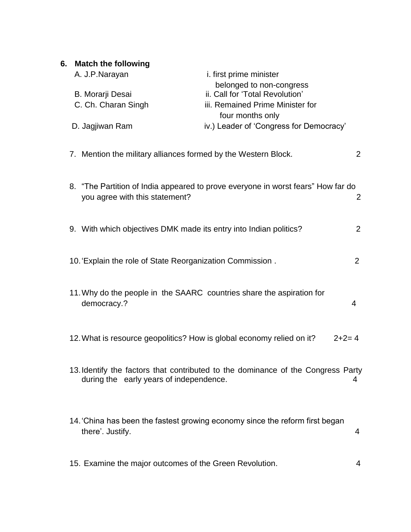| 6. | <b>Match the following</b>                                                           |                                                                                                 |                |
|----|--------------------------------------------------------------------------------------|-------------------------------------------------------------------------------------------------|----------------|
|    | A. J.P. Narayan                                                                      | i. first prime minister                                                                         |                |
|    | B. Morarji Desai<br>C. Ch. Charan Singh                                              | belonged to non-congress<br>ii. Call for 'Total Revolution'<br>iii. Remained Prime Minister for |                |
|    | D. Jagjiwan Ram                                                                      | four months only<br>iv.) Leader of 'Congress for Democracy'                                     |                |
|    | 7. Mention the military alliances formed by the Western Block.                       |                                                                                                 | $\overline{2}$ |
|    | you agree with this statement?                                                       | 8. "The Partition of India appeared to prove everyone in worst fears" How far do                | $\overline{2}$ |
|    | 9. With which objectives DMK made its entry into Indian politics?                    |                                                                                                 | 2              |
|    | 10. Explain the role of State Reorganization Commission.                             |                                                                                                 | $\overline{2}$ |
|    | 11. Why do the people in the SAARC countries share the aspiration for<br>democracy.? |                                                                                                 | 4              |
|    | 12. What is resource geopolitics? How is global economy relied on it?                |                                                                                                 | $2+2=4$        |
|    | during the early years of independence.                                              | 13. Identify the factors that contributed to the dominance of the Congress Party                | 4              |
|    | there'. Justify.                                                                     | 14. China has been the fastest growing economy since the reform first began                     | 4              |
|    | 15. Examine the major outcomes of the Green Revolution.                              |                                                                                                 | 4              |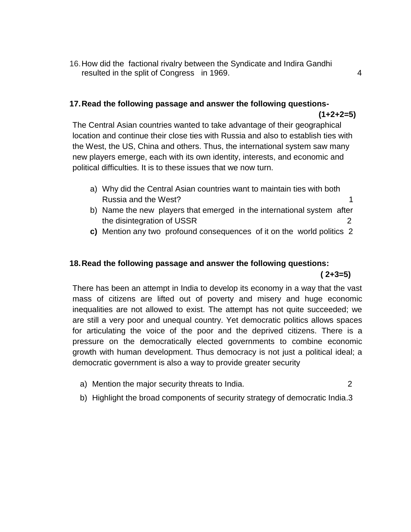16.How did the factional rivalry between the Syndicate and Indira Gandhi resulted in the split of Congress in 1969. 4

#### **17.Read the following passage and answer the following questions-**

The Central Asian countries wanted to take advantage of their geographical location and continue their close ties with Russia and also to establish ties with the West, the US, China and others. Thus, the international system saw many new players emerge, each with its own identity, interests, and economic and political difficulties. It is to these issues that we now turn.

- a) Why did the Central Asian countries want to maintain ties with both Russia and the West? 1
- b) Name the new players that emerged in the international system after the disintegration of USSR 2
- **c)** Mention any two profound consequences of it on the world politics 2

#### **18.Read the following passage and answer the following questions:**

 **( 2+3=5)** 

There has been an attempt in India to develop its economy in a way that the vast mass of citizens are lifted out of poverty and misery and huge economic inequalities are not allowed to exist. The attempt has not quite succeeded; we are still a very poor and unequal country. Yet democratic politics allows spaces for articulating the voice of the poor and the deprived citizens. There is a pressure on the democratically elected governments to combine economic growth with human development. Thus democracy is not just a political ideal; a democratic government is also a way to provide greater security

- a) Mention the major security threats to India. 2
- b) Highlight the broad components of security strategy of democratic India.3

**(1+2+2=5)**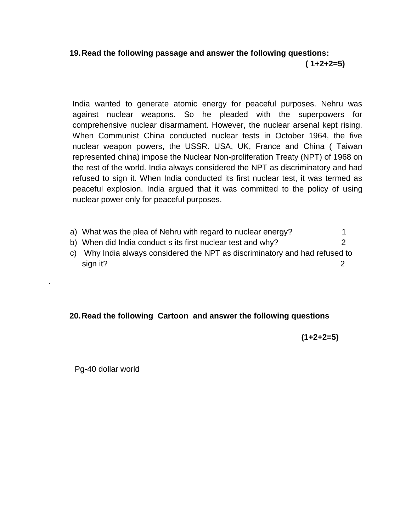## **19.Read the following passage and answer the following questions: ( 1+2+2=5)**

India wanted to generate atomic energy for peaceful purposes. Nehru was against nuclear weapons. So he pleaded with the superpowers for comprehensive nuclear disarmament. However, the nuclear arsenal kept rising. When Communist China conducted nuclear tests in October 1964, the five nuclear weapon powers, the USSR. USA, UK, France and China ( Taiwan represented china) impose the Nuclear Non-proliferation Treaty (NPT) of 1968 on the rest of the world. India always considered the NPT as discriminatory and had refused to sign it. When India conducted its first nuclear test, it was termed as peaceful explosion. India argued that it was committed to the policy of using nuclear power only for peaceful purposes.

- a) What was the plea of Nehru with regard to nuclear energy? 1
- b) When did India conduct s its first nuclear test and why? 2
- c) Why India always considered the NPT as discriminatory and had refused to sign it? 2

### **20.Read the following Cartoon and answer the following questions**

 **(1+2+2=5)**

Pg-40 dollar world

.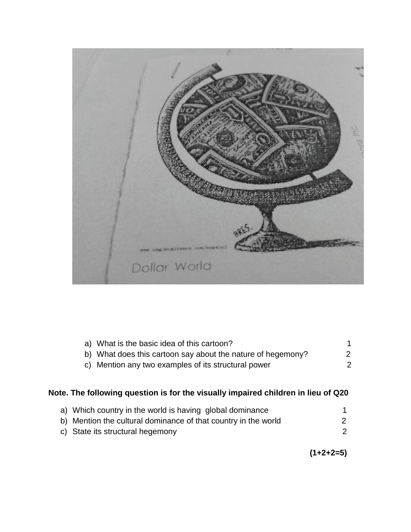

| a) What is the basic idea of this cartoon?                  |                |
|-------------------------------------------------------------|----------------|
| b) What does this cartoon say about the nature of hegemony? | $\overline{2}$ |
| c) Mention any two examples of its structural power         |                |

# **Note. The following question is for the visually impaired children in lieu of Q20**

| a) Which country in the world is having global dominance       |  |
|----------------------------------------------------------------|--|
| b) Mention the cultural dominance of that country in the world |  |
| c) State its structural hegemony                               |  |

**(1+2+2=5)**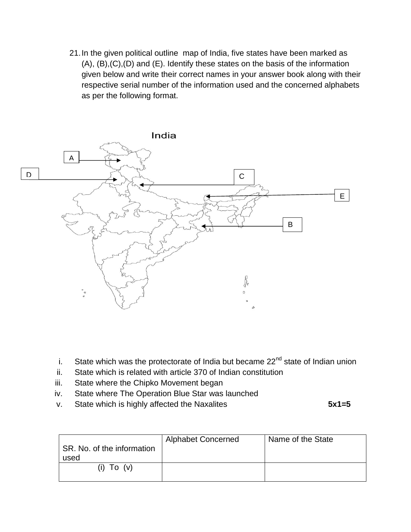21.In the given political outline map of India, five states have been marked as (A), (B),(C),(D) and (E). Identify these states on the basis of the information given below and write their correct names in your answer book along with their respective serial number of the information used and the concerned alphabets as per the following format.



- i. State which was the protectorate of India but became  $22<sup>nd</sup>$  state of Indian union
- ii. State which is related with article 370 of Indian constitution
- iii. State where the Chipko Movement began
- iv. State where The Operation Blue Star was launched
- v. State which is highly affected the Naxalites **5x1=5**

| SR. No. of the information<br>used | <b>Alphabet Concerned</b> | Name of the State |
|------------------------------------|---------------------------|-------------------|
| $(i)$ To $(v)$                     |                           |                   |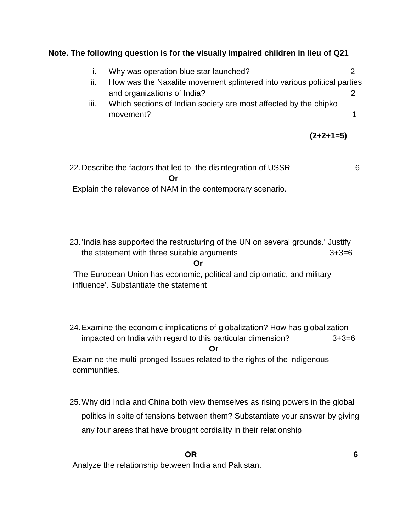#### **Note. The following question is for the visually impaired children in lieu of Q21**

| Τ.   | Why was operation blue star launched?                                   |   |
|------|-------------------------------------------------------------------------|---|
| ii.  | How was the Naxalite movement splintered into various political parties |   |
|      | and organizations of India?                                             | 2 |
| III. | Which sections of Indian society are most affected by the chipko        |   |
|      | movement?                                                               |   |
|      | $(2+2+1=5)$                                                             |   |
|      |                                                                         |   |
|      |                                                                         |   |
|      | 22. Describe the factors that led to the disintegration of USSR         | 6 |
|      | Or                                                                      |   |
|      | Explain the relevance of NAM in the contemporary scenario.              |   |
|      |                                                                         |   |

23.'India has supported the restructuring of the UN on several grounds.' Justify the statement with three suitable arguments  $3+3=6$ 

*<u>Drama* Oriental Science of the Science of the Science of the Science of the Science of the Science of the Science of the Science of the Science of the Science of the Science of the Science of the Science of the Science</u>

'The European Union has economic, political and diplomatic, and military influence'. Substantiate the statement

24.Examine the economic implications of globalization? How has globalization impacted on India with regard to this particular dimension? 3+3=6

 *Oriental Contract of Contract of Contract of Contract of Contract of Contract of Contract of Contract of Contract of Contract of Contract of Contract of Contract of Contract of Contract of Contract of Contract of Contra* 

Examine the multi-pronged Issues related to the rights of the indigenous communities.

25.Why did India and China both view themselves as rising powers in the global politics in spite of tensions between them? Substantiate your answer by giving any four areas that have brought cordiality in their relationship

**OR** 6 Analyze the relationship between India and Pakistan.